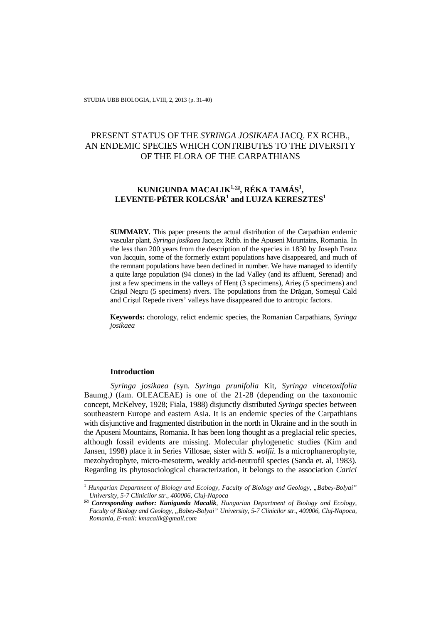# PRESENT STATUS OF THE *SYRINGA JOSIKAEA* JACQ. EX RCHB., AN ENDEMIC SPECIES WHICH CONTRIBUTES TO THE DIVERSITY OF THE FLORA OF THE CARPATHIANS

# **KUNIGUNDA MACALIK1,, RÉKA TAMÁS<sup>1</sup> ,**   $\mathbf{L}\mathbf{E}\mathbf{V}\mathbf{E}\mathbf{N}\mathbf{T}\mathbf{E}\text{-}\mathbf{P}\hat{\mathbf{E}}\mathbf{T}\mathbf{E}\mathbf{R}$   $\mathbf{K}\mathbf{O}\mathbf{L}\mathbf{C}\mathbf{S}\hat{\mathbf{A}}\mathbf{R}^1$  and  $\mathbf{L}\mathbf{U}\mathbf{J}\mathbf{Z}\mathbf{A}$   $\mathbf{K}\mathbf{E}\mathbf{R}\mathbf{E}\mathbf{S}\mathbf{Z}\mathbf{T}\mathbf{E}\mathbf{S}^1$

**SUMMARY.** This paper presents the actual distribution of the Carpathian endemic vascular plant, *Syringa josikaea* Jacq.ex Rchb. in the Apuseni Mountains, Romania. In the less than 200 years from the description of the species in 1830 by Joseph Franz von Jacquin, some of the formerly extant populations have disappeared, and much of the remnant populations have been declined in number. We have managed to identify a quite large population (94 clones) in the Iad Valley (and its affluent, Serenad) and just a few specimens in the valleys of Henţ (3 specimens), Arieş (5 specimens) and Crişul Negru (5 specimens) rivers. The populations from the Drăgan, Someşul Cald and Crişul Repede rivers' valleys have disappeared due to antropic factors.

**Keywords:** chorology, relict endemic species, the Romanian Carpathians, *Syringa josikaea*

#### **Introduction**

l

*Syringa josikaea (*syn*. Syringa prunifolia* Kit*, Syringa vincetoxifolia*  Baumg*.)* (fam. OLEACEAE) is one of the 21-28 (depending on the taxonomic concept, McKelvey, 1928; Fiala, 1988) disjunctly distributed *Syringa* species between southeastern Europe and eastern Asia. It is an endemic species of the Carpathians with disjunctive and fragmented distribution in the north in Ukraine and in the south in the Apuseni Mountains, Romania. It has been long thought as a preglacial relic species, although fossil evidents are missing. Molecular phylogenetic studies (Kim and Jansen, 1998) place it in Series Villosae, sister with *S. wolfii*. Is a microphanerophyte, mezohydrophyte, micro-mesoterm, weakly acid-neutrofil species (Sanda et. al, 1983). Regarding its phytosociological characterization, it belongs to the association *Carici* 

<sup>1</sup> *Hungarian Department of Biology and Ecology, Faculty of Biology and Geology, "Babeş-Bolyai" University, 5-7 Clinicilor str., 400006, Cluj-Napoca* 

*Corresponding author: Kunigunda Macalik, Hungarian Department of Biology and Ecology, Faculty of Biology and Geology, "Babeş-Bolyai" University, 5-7 Clinicilor str., 400006, Cluj-Napoca, Romania, E-mail: kmacalik@gmail.com*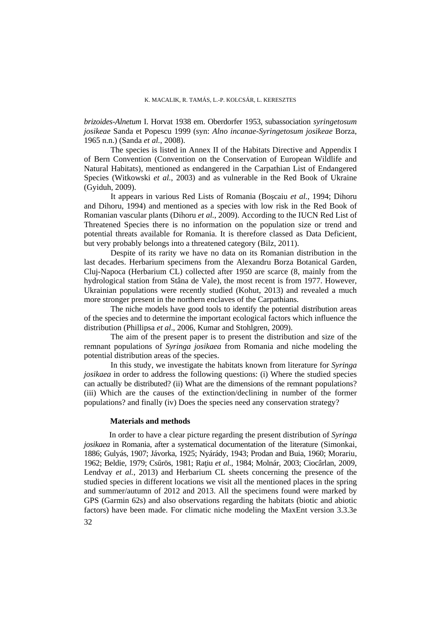*brizoides-Alnetum* I. Horvat 1938 em. Oberdorfer 1953, subassociation *syringetosum josikeae* Sanda et Popescu 1999 (syn: *Alno incanae-Syringetosum josikeae* Borza, 1965 n.n.) (Sanda *et al.*, 2008).

The species is listed in Annex II of the Habitats Directive and Appendix I of Bern Convention (Convention on the Conservation of European Wildlife and Natural Habitats), mentioned as endangered in the Carpathian List of Endangered Species (Witkowski *et al.*, 2003) and as vulnerable in the Red Book of Ukraine (Gyiduh, 2009).

It appears in various Red Lists of Romania (Boşcaiu *et al.*, 1994; Dihoru and Dihoru, 1994) and mentioned as a species with low risk in the Red Book of Romanian vascular plants (Dihoru *et al.*, 2009). According to the IUCN Red List of Threatened Species there is no information on the population size or trend and potential threats available for Romania. It is therefore classed as Data Deficient, but very probably belongs into a threatened category (Bilz, 2011).

Despite of its rarity we have no data on its Romanian distribution in the last decades. Herbarium specimens from the Alexandru Borza Botanical Garden, Cluj-Napoca (Herbarium CL) collected after 1950 are scarce (8, mainly from the hydrological station from Stâna de Vale), the most recent is from 1977. However, Ukrainian populations were recently studied (Kohut, 2013) and revealed a much more stronger present in the northern enclaves of the Carpathians.

The niche models have good tools to identify the potential distribution areas of the species and to determine the important ecological factors which influence the distribution (Phillipsa *et al*., 2006, Kumar and Stohlgren, 2009).

The aim of the present paper is to present the distribution and size of the remnant populations of *Syringa josikaea* from Romania and niche modeling the potential distribution areas of the species.

In this study, we investigate the habitats known from literature for *Syringa josikaea* in order to address the following questions: (i) Where the studied species can actually be distributed? (ii) What are the dimensions of the remnant populations? (iii) Which are the causes of the extinction/declining in number of the former populations? and finally (iv) Does the species need any conservation strategy?

# **Materials and methods**

In order to have a clear picture regarding the present distribution of *Syringa josikaea* in Romania, after a systematical documentation of the literature (Simonkai, 1886; Gulyás, 1907; Jávorka, 1925; Nyárády, 1943; Prodan and Buia, 1960; Morariu, 1962; Beldie, 1979; Csűrös, 1981; Raţiu *et al*., 1984; Molnár, 2003; Ciocârlan, 2009, Lendvay *et al.*, 2013) and Herbarium CL sheets concerning the presence of the studied species in different locations we visit all the mentioned places in the spring and summer/autumn of 2012 and 2013. All the specimens found were marked by GPS (Garmin 62s) and also observations regarding the habitats (biotic and abiotic factors) have been made. For climatic niche modeling the MaxEnt version 3.3.3e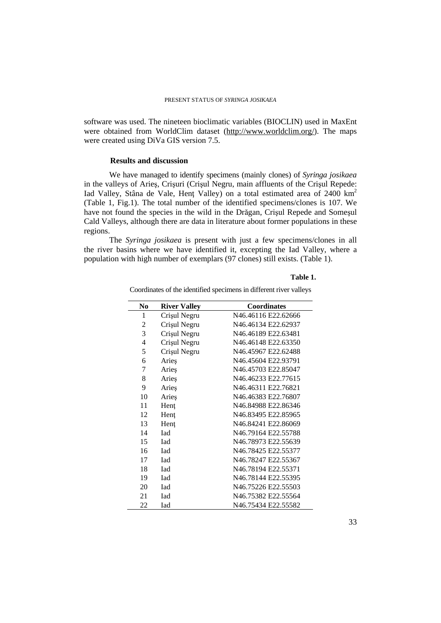software was used. The nineteen bioclimatic variables (BIOCLIN) used in MaxEnt were obtained from WorldClim dataset (http://www.worldclim.org/). The maps were created using DiVa GIS version 7.5.

#### **Results and discussion**

We have managed to identify specimens (mainly clones) of *Syringa josikaea* in the valleys of Arieş, Crişuri (Crişul Negru, main affluents of the Crişul Repede: Iad Valley, Stâna de Vale, Hent Valley) on a total estimated area of 2400 km<sup>2</sup> (Table 1, Fig.1). The total number of the identified specimens/clones is 107. We have not found the species in the wild in the Drăgan, Crişul Repede and Someşul Cald Valleys, although there are data in literature about former populations in these regions.

The *Syringa josikaea* is present with just a few specimens/clones in all the river basins where we have identified it, excepting the Iad Valley, where a population with high number of exemplars (97 clones) still exists. (Table 1).

# **Table 1.**

| N <sub>0</sub> | <b>River Valley</b> | <b>Coordinates</b>  |
|----------------|---------------------|---------------------|
| 1              | Crișul Negru        | N46.46116 E22.62666 |
| 2              | Crișul Negru        | N46.46134 E22.62937 |
| 3              | Crișul Negru        | N46.46189 E22.63481 |
| 4              | Crișul Negru        | N46.46148 E22.63350 |
| 5              | Crișul Negru        | N46.45967 E22.62488 |
| 6              | Aries               | N46.45604 E22.93791 |
| 7              | Arieş               | N46.45703 E22.85047 |
| 8              | Aries               | N46.46233 E22.77615 |
| 9              | Aries               | N46.46311 E22.76821 |
| 10             | Arieş               | N46.46383 E22.76807 |
| 11             | Hent                | N46.84988 E22.86346 |
| 12             | Hent                | N46.83495 E22.85965 |
| 13             | Hent                | N46.84241 E22.86069 |
| 14             | <b>L</b> ad         | N46.79164 E22.55788 |
| 15             | <b>I</b> ad         | N46.78973 E22.55639 |
| 16             | Iad                 | N46.78425 E22.55377 |
| 17             | Iad                 | N46.78247 E22.55367 |
| 18             | Iad                 | N46.78194 E22.55371 |
| 19             | <b>I</b> ad         | N46.78144 E22.55395 |
| 20             | <b>I</b> ad         | N46.75226 E22.55503 |
| 21             | Iad                 | N46.75382 E22.55564 |
| 22             | Iad                 | N46.75434 E22.55582 |

Coordinates of the identified specimens in different river valleys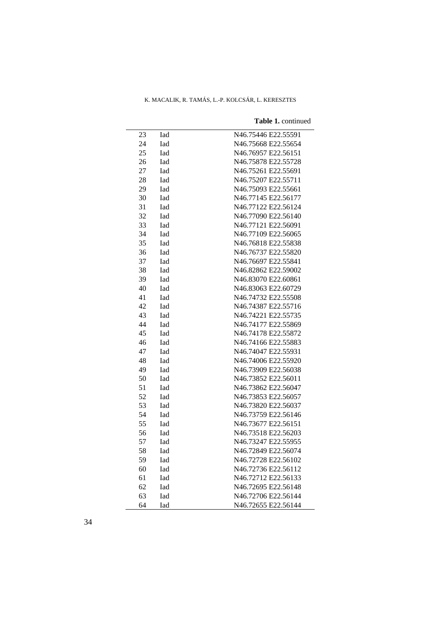| 23 | Iad | N46.75446 E22.55591 |
|----|-----|---------------------|
| 24 | Iad | N46.75668 E22.55654 |
| 25 | Iad | N46.76957 E22.56151 |
| 26 | Iad | N46.75878 E22.55728 |
| 27 | Iad | N46.75261 E22.55691 |
| 28 | Iad | N46.75207 E22.55711 |
| 29 | Iad | N46.75093 E22.55661 |
| 30 | Iad | N46.77145 E22.56177 |
| 31 | Iad | N46.77122 E22.56124 |
| 32 | Iad | N46.77090 E22.56140 |
| 33 | Iad | N46.77121 E22.56091 |
| 34 | Iad | N46.77109 E22.56065 |
| 35 | Iad | N46.76818 E22.55838 |
| 36 | Iad | N46.76737 E22.55820 |
| 37 | Iad | N46.76697 E22.55841 |
| 38 | Iad | N46.82862 E22.59002 |
| 39 | Iad | N46.83070 E22.60861 |
| 40 | Iad | N46.83063 E22.60729 |
| 41 | Iad | N46.74732 E22.55508 |
| 42 | Iad | N46.74387 E22.55716 |
| 43 | Iad | N46.74221 E22.55735 |
| 44 | Iad | N46.74177 E22.55869 |
| 45 | Iad | N46.74178 E22.55872 |
| 46 | Iad | N46.74166 E22.55883 |
| 47 | Iad | N46.74047 E22.55931 |
| 48 | Iad | N46.74006 E22.55920 |
| 49 | Iad | N46.73909 E22.56038 |
| 50 | Iad | N46.73852 E22.56011 |
| 51 | Iad | N46.73862 E22.56047 |
| 52 | Iad | N46.73853 E22.56057 |
| 53 | Iad | N46.73820 E22.56037 |
| 54 | Iad | N46.73759 E22.56146 |
| 55 | Iad | N46.73677 E22.56151 |
| 56 | Iad | N46.73518 E22.56203 |
| 57 | Iad | N46.73247 E22.55955 |
| 58 | Iad | N46.72849 E22.56074 |
| 59 | Iad | N46.72728 E22.56102 |
| 60 | Iad | N46.72736 E22.56112 |
| 61 | Iad | N46.72712 E22.56133 |
| 62 | Iad | N46.72695 E22.56148 |
| 63 | Iad | N46.72706 E22.56144 |
| 64 | Iad | N46.72655 E22.56144 |

**Table 1.** continued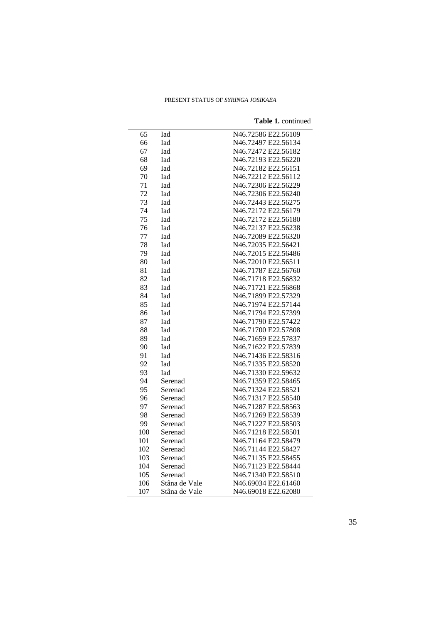| 65  | Iad           | N46.72586 E22.56109 |
|-----|---------------|---------------------|
| 66  | Iad           | N46.72497 E22.56134 |
| 67  | <b>Iad</b>    | N46.72472 E22.56182 |
| 68  | Iad           | N46.72193 E22.56220 |
| 69  | Iad           | N46.72182 E22.56151 |
| 70  | Iad           | N46.72212 E22.56112 |
| 71  | Iad           | N46.72306 E22.56229 |
| 72  | Iad           | N46.72306 E22.56240 |
| 73  | Iad           | N46.72443 E22.56275 |
| 74  | <b>Iad</b>    | N46.72172 E22.56179 |
| 75  | Iad           | N46.72172 E22.56180 |
| 76  | Iad           | N46.72137 E22.56238 |
| 77  | Iad           | N46.72089 E22.56320 |
| 78  | <b>Iad</b>    | N46.72035 E22.56421 |
| 79  | Iad           | N46.72015 E22.56486 |
| 80  | Iad           | N46.72010 E22.56511 |
| 81  | <b>Iad</b>    | N46.71787 E22.56760 |
| 82  | Iad           | N46.71718 E22.56832 |
| 83  | Iad           | N46.71721 E22.56868 |
| 84  | Iad           | N46.71899 E22.57329 |
| 85  | Iad           | N46.71974 E22.57144 |
| 86  | Iad           | N46.71794 E22.57399 |
| 87  | Iad           | N46.71790 E22.57422 |
| 88  | Iad           | N46.71700 E22.57808 |
| 89  | Iad           | N46.71659 E22.57837 |
| 90  | Iad           | N46.71622 E22.57839 |
| 91  | Iad           | N46.71436 E22.58316 |
| 92  | Iad           | N46.71335 E22.58520 |
| 93  | Iad           | N46.71330 E22.59632 |
| 94  | Serenad       | N46.71359 E22.58465 |
| 95  | Serenad       | N46.71324 E22.58521 |
| 96  | Serenad       | N46.71317 E22.58540 |
| 97  | Serenad       | N46.71287 E22.58563 |
| 98  | Serenad       | N46.71269 E22.58539 |
| 99  | Serenad       | N46.71227 E22.58503 |
| 100 | Serenad       | N46.71218 E22.58501 |
| 101 | Serenad       | N46.71164 E22.58479 |
| 102 | Serenad       | N46.71144 E22.58427 |
| 103 | Serenad       | N46.71135 E22.58455 |
| 104 | Serenad       | N46.71123 E22.58444 |
| 105 | Serenad       | N46.71340 E22.58510 |
| 106 | Stâna de Vale | N46.69034 E22.61460 |
| 107 | Stâna de Vale | N46.69018 E22.62080 |

**Table 1.** continued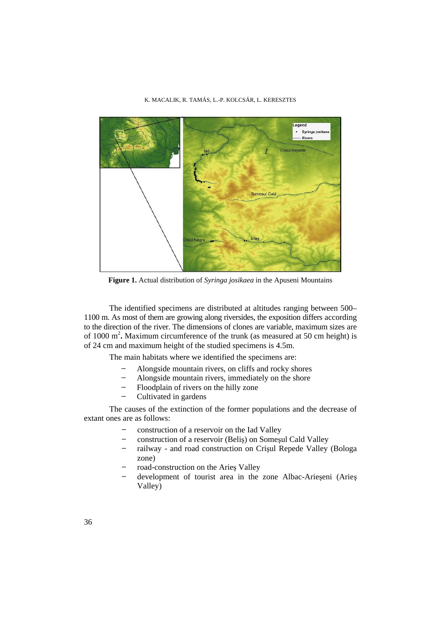

**Figure 1.** Actual distribution of *Syringa josikaea* in the Apuseni Mountains

The identified specimens are distributed at altitudes ranging between 500– 1100 m. As most of them are growing along riversides, the exposition differs according to the direction of the river. The dimensions of clones are variable, maximum sizes are of 1000 m<sup>2</sup>. Maximum circumference of the trunk (as measured at 50 cm height) is of 24 cm and maximum height of the studied specimens is 4.5m.

The main habitats where we identified the specimens are:

- ̶ Alongside mountain rivers, on cliffs and rocky shores
- ̶ Alongside mountain rivers, immediately on the shore
- ̶ Floodplain of rivers on the hilly zone
- ̶ Cultivated in gardens

The causes of the extinction of the former populations and the decrease of extant ones are as follows:

- ̶ construction of a reservoir on the Iad Valley
- ̶ construction of a reservoir (Beliş) on Someşul Cald Valley
- ̶ railway and road construction on Crişul Repede Valley (Bologa zone)
- road-construction on the Aries Valley
- ̶ development of tourist area in the zone Albac-Arieşeni (Arieş Valley)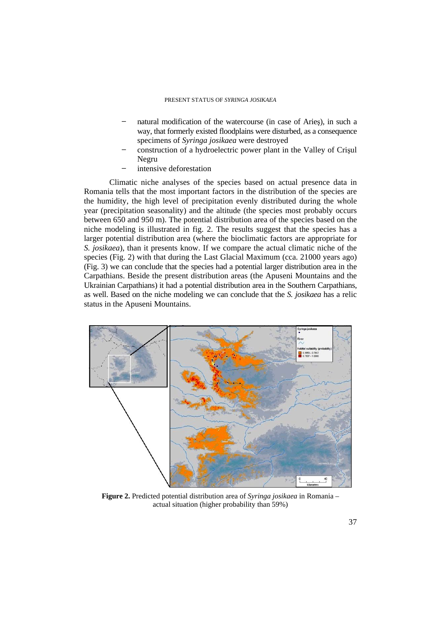- natural modification of the watercourse (in case of Aries), in such a way, that formerly existed floodplains were disturbed, as a consequence specimens of *Syringa josikaea* were destroyed
- ̶ construction of a hydroelectric power plant in the Valley of Crişul Negru
- intensive deforestation

Climatic niche analyses of the species based on actual presence data in Romania tells that the most important factors in the distribution of the species are the humidity, the high level of precipitation evenly distributed during the whole year (precipitation seasonality) and the altitude (the species most probably occurs between 650 and 950 m). The potential distribution area of the species based on the niche modeling is illustrated in fig. 2. The results suggest that the species has a larger potential distribution area (where the bioclimatic factors are appropriate for *S. josikaea*), than it presents know. If we compare the actual climatic niche of the species (Fig. 2) with that during the Last Glacial Maximum (cca. 21000 years ago) (Fig. 3) we can conclude that the species had a potential larger distribution area in the Carpathians. Beside the present distribution areas (the Apuseni Mountains and the Ukrainian Carpathians) it had a potential distribution area in the Southern Carpathians, as well. Based on the niche modeling we can conclude that the *S. josikaea* has a relic status in the Apuseni Mountains.



**Figure 2.** Predicted potential distribution area of *Syringa josikaea* in Romania – actual situation (higher probability than 59%)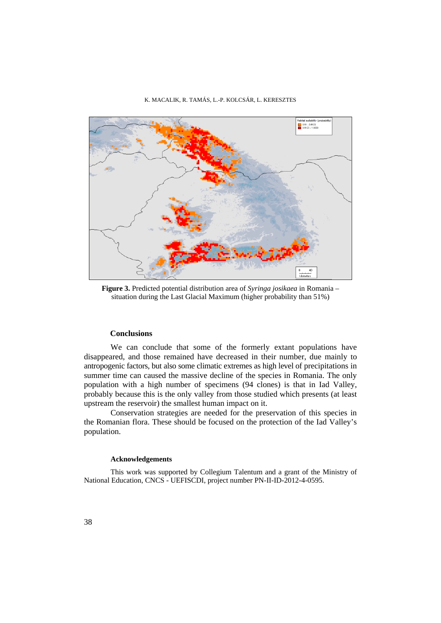

**Figure 3.** Predicted potential distribution area of *Syringa josikaea* in Romania – situation during the Last Glacial Maximum (higher probability than 51%)

## **Conclusions**

We can conclude that some of the formerly extant populations have disappeared, and those remained have decreased in their number, due mainly to antropogenic factors, but also some climatic extremes as high level of precipitations in summer time can caused the massive decline of the species in Romania. The only population with a high number of specimens (94 clones) is that in Iad Valley, probably because this is the only valley from those studied which presents (at least upstream the reservoir) the smallest human impact on it.

Conservation strategies are needed for the preservation of this species in the Romanian flora. These should be focused on the protection of the Iad Valley's population.

#### **Acknowledgements**

This work was supported by Collegium Talentum and a grant of the Ministry of National Education, CNCS - UEFISCDI, project number PN-II-ID-2012-4-0595.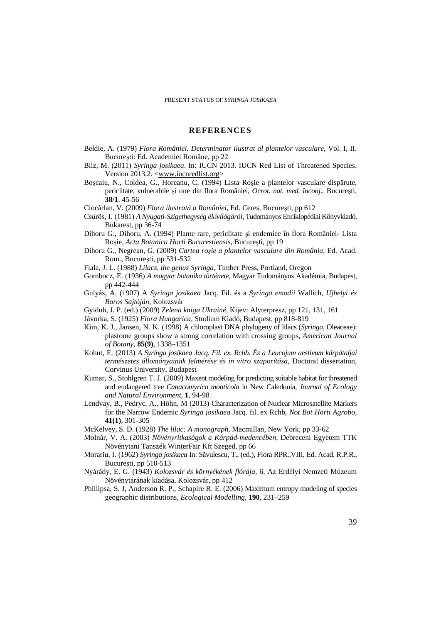## **REFERENCES**

- Beldie, A. (1979) *Flora României. Determinator ilustrat al plantelor vasculare,* Vol. I, II. Bucureşti: Ed. Academiei Române, pp 22
- Bilz, M. (2011) *Syringa josikaea*. In: IUCN 2013. IUCN Red List of Threatened Species. Version 2013.2. <www.iucnredlist.org>
- Boşcaiu, N., Coldea, G., Horeanu, C. (1994) Lista Roşie a plantelor vasculare dispărute, periclitate, vulnerabile şi rare din flora României, *Ocrot. nat. med. înconj*., Bucureşti, **38/1**, 45-56
- Ciocârlan, V. (2009) *Flora ilustrată a României*, Ed. Ceres, Bucureşti, pp 612
- Csűrös, I. (1981) *A Nyugati-Szigethegység élővilágáról,* Tudományos Enciklopédiai Könyvkiadó, Bukarest, pp 36-74
- Dihoru G., Dihoru, A. (1994) Plante rare, periclitate şi endemice în flora României- Lista Roşie, *Acta Botanica Horti Bucurestiensis*, Bucureşti, pp 19
- Dihoru G., Negrean, G. (2009) *Cartea roşie a plantelor vasculare din România,* Ed. Acad. Rom., Bucureşti, pp 531-532
- Fiala, J. L. (1988) *Lilacs, the genus Syringa,* Timber Press, Portland, Oregon
- Gombocz, E. (1936) *A magyar botanika története*, Magyar Tudományos Akadémia, Budapest, pp 442-444
- Gulyás, A. (1907) A *Syringa josikaea* Jacq. Fil. és a *Syringa emodii* Wallich, *Ujhelyi és Boros Sajtóján*, Kolozsvár
- Gyiduh, J. P. (ed.) (2009) *Zelena kniga Ukrainé,* Kijev: Alyterpresz, pp 121, 131, 161
- Jávorka, S. (1925) *Flora Hungarica,* Studium Kiadó, Budapest, pp 818-819
- Kim, K. J., Jansen, N. K. (1998) A chloroplast DNA phylogeny of lilacs (*Syringa*, Oleaceae): plastome groups show a strong correlation with crossing groups, *American Journal of Botany,* **85(9)**, 1338–1351
- Kohut, E. (2013) *A Syringa josikaea Jacq. Fil. ex. Rchb. És a Leucojum aestivum kárpátaljai természetes állományainak felmérése és in vitro szaporítása,* Doctoral dissertation, Corvinus University, Budapest
- Kumar, S., Stohlgren T. J. (2009) Maxent modeling for predicting suitable habitat for threatened and endangered tree *Canacomyrica monticola* in New Caledonia, *Journal of Ecology and Natural Environment,* **1**, 94-98
- Lendvay, B., Pedryc, A., Höhn, M (2013) Characterization of Nuclear Microsatellite Markers for the Narrow Endemic *Syringa josikaea* Jacq. fil. ex Rchb, *Not Bot Horti Agrobo*, **41(1)**, 301-305
- McKelvey, S. D. (1928) *The lilac: A monograph,* Macmillan, New York, pp 33-62
- Molnár, V. A. (2003) *Növényritkaságok a Kárpád-medencében,* Debreceni Egyetem TTK Növénytani Tanszék WinterFair Kft Szeged, pp 66
- Morariu, I. (1962) *Syringa josikaea* In: Săvulescu, T., (ed.), Flora RPR.,VIII, Ed. Acad. R.P.R., Bucureşti, pp 510-513
- Nyárády, E. G. (1943) *Kolozsvár és környékének flórája*, 6, Az Erdélyi Nemzeti Múzeum Növénytárának kiadása, Kolozsvár, pp 412
- Phillipsa, S. J, Anderson R. P., Schapire R. E. (2006) Maximum entropy modeling of species geographic distributions, *Ecological Modelling,* **190**, 231–259